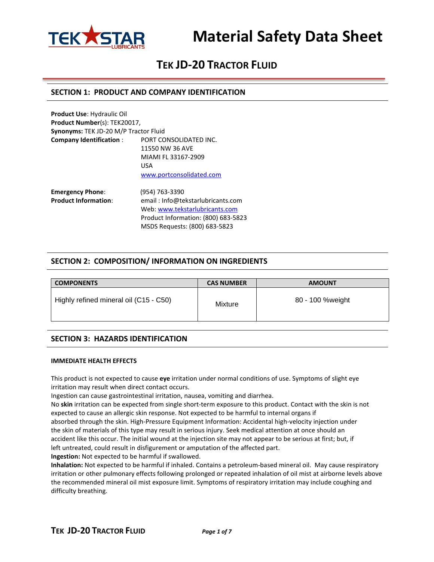

# **Material Safety Data Sheet**

### **TEK JD-20 TRACTOR FLUID**

### **SECTION 1: PRODUCT AND COMPANY IDENTIFICATION**

| <b>Product Use: Hydraulic Oil</b>     |                          |  |  |  |
|---------------------------------------|--------------------------|--|--|--|
| Product Number(s): TEK20017,          |                          |  |  |  |
| Synonyms: TEK JD-20 M/P Tractor Fluid |                          |  |  |  |
| <b>Company Identification:</b>        | PORT CONSOLIDATED INC.   |  |  |  |
|                                       | 11550 NW 36 AVE          |  |  |  |
|                                       | MIAMI FL 33167-2909      |  |  |  |
|                                       | USA                      |  |  |  |
|                                       | www.portconsolidated.com |  |  |  |
| <b>Emergency Phone:</b>               | (954) 763-3390           |  |  |  |

**Product Information**: email : Info@tekstarlubricants.com Web: [www.tekstarlubricants.com](http://www.tekstarlubricants.com/) Product Information: (800) 683-5823 MSDS Requests: (800) 683-5823

### **SECTION 2: COMPOSITION/ INFORMATION ON INGREDIENTS**

| <b>COMPONENTS</b>                      | <b>CAS NUMBER</b> | <b>AMOUNT</b>    |
|----------------------------------------|-------------------|------------------|
| Highly refined mineral oil (C15 - C50) | Mixture           | 80 - 100 %weight |

### **SECTION 3: HAZARDS IDENTIFICATION**

### **IMMEDIATE HEALTH EFFECTS**

This product is not expected to cause **eye** irritation under normal conditions of use. Symptoms of slight eye irritation may result when direct contact occurs.

Ingestion can cause gastrointestinal irritation, nausea, vomiting and diarrhea.

No **skin** irritation can be expected from single short-term exposure to this product. Contact with the skin is not expected to cause an allergic skin response. Not expected to be harmful to internal organs if

absorbed through the skin. High-Pressure Equipment Information: Accidental high-velocity injection under the skin of materials of this type may result in serious injury. Seek medical attention at once should an accident like this occur. The initial wound at the injection site may not appear to be serious at first; but, if left untreated, could result in disfigurement or amputation of the affected part.

**Ingestion:** Not expected to be harmful if swallowed.

**Inhalation:** Not expected to be harmful if inhaled. Contains a petroleum-based mineral oil. May cause respiratory irritation or other pulmonary effects following prolonged or repeated inhalation of oil mist at airborne levels above the recommended mineral oil mist exposure limit. Symptoms of respiratory irritation may include coughing and difficulty breathing.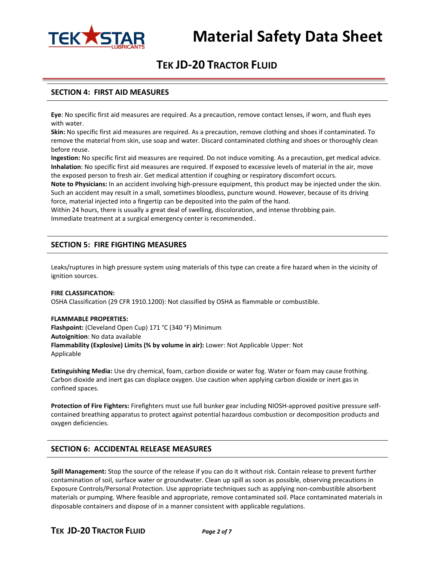

### **SECTION 4: FIRST AID MEASURES**

**Eye**: No specific first aid measures are required. As a precaution, remove contact lenses, if worn, and flush eyes with water.

**Skin:** No specific first aid measures are required. As a precaution, remove clothing and shoes if contaminated. To remove the material from skin, use soap and water. Discard contaminated clothing and shoes or thoroughly clean before reuse.

**Ingestion:** No specific first aid measures are required. Do not induce vomiting. As a precaution, get medical advice. **Inhalation**: No specific first aid measures are required. If exposed to excessive levels of material in the air, move the exposed person to fresh air. Get medical attention if coughing or respiratory discomfort occurs.

**Note to Physicians:** In an accident involving high-pressure equipment, this product may be injected under the skin. Such an accident may result in a small, sometimes bloodless, puncture wound. However, because of its driving force, material injected into a fingertip can be deposited into the palm of the hand.

Within 24 hours, there is usually a great deal of swelling, discoloration, and intense throbbing pain. Immediate treatment at a surgical emergency center is recommended..

### **SECTION 5: FIRE FIGHTING MEASURES**

Leaks/ruptures in high pressure system using materials of this type can create a fire hazard when in the vicinity of ignition sources.

### **FIRE CLASSIFICATION:**

OSHA Classification (29 CFR 1910.1200): Not classified by OSHA as flammable or combustible.

#### **FLAMMABLE PROPERTIES:**

**Flashpoint:** (Cleveland Open Cup) 171 °C (340 °F) Minimum **Autoignition**: No data available **Flammability (Explosive) Limits (% by volume in air):** Lower: Not Applicable Upper: Not Applicable

**Extinguishing Media:** Use dry chemical, foam, carbon dioxide or water fog. Water or foam may cause frothing. Carbon dioxide and inert gas can displace oxygen. Use caution when applying carbon dioxide or inert gas in confined spaces.

**Protection of Fire Fighters:** Firefighters must use full bunker gear including NIOSH-approved positive pressure selfcontained breathing apparatus to protect against potential hazardous combustion or decomposition products and oxygen deficiencies.

### **SECTION 6: ACCIDENTAL RELEASE MEASURES**

**Spill Management:** Stop the source of the release if you can do it without risk. Contain release to prevent further contamination of soil, surface water or groundwater. Clean up spill as soon as possible, observing precautions in Exposure Controls/Personal Protection. Use appropriate techniques such as applying non-combustible absorbent materials or pumping. Where feasible and appropriate, remove contaminated soil. Place contaminated materials in disposable containers and dispose of in a manner consistent with applicable regulations.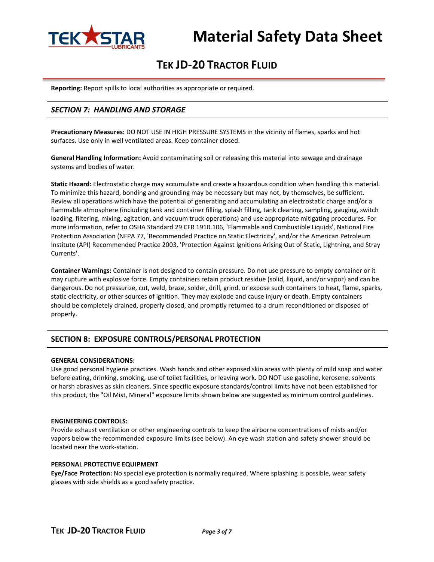

**Reporting:** Report spills to local authorities as appropriate or required.

### *SECTION 7: HANDLING AND STORAGE*

**Precautionary Measures:** DO NOT USE IN HIGH PRESSURE SYSTEMS in the vicinity of flames, sparks and hot surfaces. Use only in well ventilated areas. Keep container closed.

**General Handling Information:** Avoid contaminating soil or releasing this material into sewage and drainage systems and bodies of water.

**Static Hazard:** Electrostatic charge may accumulate and create a hazardous condition when handling this material. To minimize this hazard, bonding and grounding may be necessary but may not, by themselves, be sufficient. Review all operations which have the potential of generating and accumulating an electrostatic charge and/or a flammable atmosphere (including tank and container filling, splash filling, tank cleaning, sampling, gauging, switch loading, filtering, mixing, agitation, and vacuum truck operations) and use appropriate mitigating procedures. For more information, refer to OSHA Standard 29 CFR 1910.106, 'Flammable and Combustible Liquids', National Fire Protection Association (NFPA 77, 'Recommended Practice on Static Electricity', and/or the American Petroleum Institute (API) Recommended Practice 2003, 'Protection Against Ignitions Arising Out of Static, Lightning, and Stray Currents'.

**Container Warnings:** Container is not designed to contain pressure. Do not use pressure to empty container or it may rupture with explosive force. Empty containers retain product residue (solid, liquid, and/or vapor) and can be dangerous. Do not pressurize, cut, weld, braze, solder, drill, grind, or expose such containers to heat, flame, sparks, static electricity, or other sources of ignition. They may explode and cause injury or death. Empty containers should be completely drained, properly closed, and promptly returned to a drum reconditioned or disposed of properly.

### **SECTION 8: EXPOSURE CONTROLS/PERSONAL PROTECTION**

### **GENERAL CONSIDERATIONS:**

Use good personal hygiene practices. Wash hands and other exposed skin areas with plenty of mild soap and water before eating, drinking, smoking, use of toilet facilities, or leaving work. DO NOT use gasoline, kerosene, solvents or harsh abrasives as skin cleaners. Since specific exposure standards/control limits have not been established for this product, the "Oil Mist, Mineral" exposure limits shown below are suggested as minimum control guidelines.

#### **ENGINEERING CONTROLS:**

Provide exhaust ventilation or other engineering controls to keep the airborne concentrations of mists and/or vapors below the recommended exposure limits (see below). An eye wash station and safety shower should be located near the work-station.

#### **PERSONAL PROTECTIVE EQUIPMENT**

**Eye/Face Protection:** No special eye protection is normally required. Where splashing is possible, wear safety glasses with side shields as a good safety practice.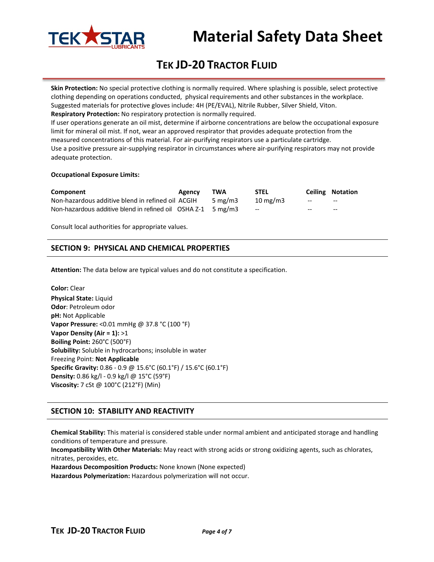

# **Material Safety Data Sheet**

## **TEK JD-20 TRACTOR FLUID**

**Skin Protection:** No special protective clothing is normally required. Where splashing is possible, select protective clothing depending on operations conducted, physical requirements and other substances in the workplace. Suggested materials for protective gloves include: 4H (PE/EVAL), Nitrile Rubber, Silver Shield, Viton. **Respiratory Protection:** No respiratory protection is normally required.

If user operations generate an oil mist, determine if airborne concentrations are below the occupational exposure limit for mineral oil mist. If not, wear an approved respirator that provides adequate protection from the measured concentrations of this material. For air-purifying respirators use a particulate cartridge.

Use a positive pressure air-supplying respirator in circumstances where air-purifying respirators may not provide adequate protection.

### **Occupational Exposure Limits:**

| Component                                                                              | <b>Agency</b> | TWA        | <b>STEL</b>       |        | <b>Ceiling Notation</b> |
|----------------------------------------------------------------------------------------|---------------|------------|-------------------|--------|-------------------------|
| Non-hazardous additive blend in refined oil ACGIH                                      |               | 5 mg/m $3$ | $10 \text{ mg/m}$ | $\sim$ | $- -$                   |
| Non-hazardous additive blend in refined oil $\overline{OSHA}$ Z-1 $\overline{5}$ mg/m3 |               |            | $-$               | $- -$  | $- -$                   |

Consult local authorities for appropriate values.

### **SECTION 9: PHYSICAL AND CHEMICAL PROPERTIES**

**Attention:** The data below are typical values and do not constitute a specification.

**Color:** Clear **Physical State:** Liquid **Odor**: Petroleum odor **pH:** Not Applicable **Vapor Pressure:** <0.01 mmHg @ 37.8 °C (100 °F) **Vapor Density (Air = 1):** >1 **Boiling Point:** 260°C (500°F) **Solubility:** Soluble in hydrocarbons; insoluble in water Freezing Point: **Not Applicable Specific Gravity:** 0.86 - 0.9 @ 15.6°C (60.1°F) / 15.6°C (60.1°F) **Density:** 0.86 kg/l - 0.9 kg/l @ 15°C (59°F) **Viscosity:** 7 cSt @ 100°C (212°F) (Min)

### **SECTION 10: STABILITY AND REACTIVITY**

**Chemical Stability:** This material is considered stable under normal ambient and anticipated storage and handling conditions of temperature and pressure.

**Incompatibility With Other Materials:** May react with strong acids or strong oxidizing agents, such as chlorates, nitrates, peroxides, etc.

**Hazardous Decomposition Products:** None known (None expected)

**Hazardous Polymerization:** Hazardous polymerization will not occur.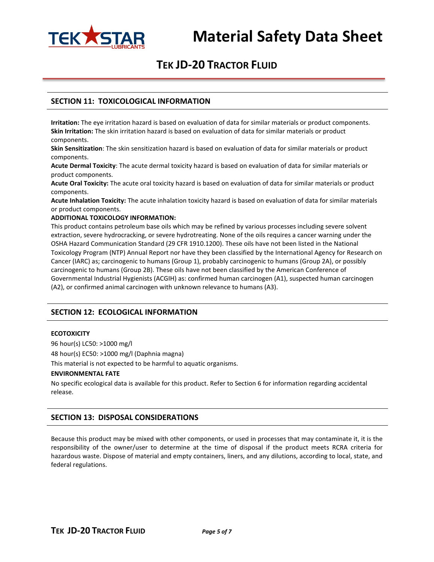

### **SECTION 11: TOXICOLOGICAL INFORMATION**

**Irritation:** The eye irritation hazard is based on evaluation of data for similar materials or product components. **Skin Irritation:** The skin irritation hazard is based on evaluation of data for similar materials or product components.

**Skin Sensitization**: The skin sensitization hazard is based on evaluation of data for similar materials or product components.

**Acute Dermal Toxicity**: The acute dermal toxicity hazard is based on evaluation of data for similar materials or product components.

**Acute Oral Toxicity:** The acute oral toxicity hazard is based on evaluation of data for similar materials or product components.

**Acute Inhalation Toxicity:** The acute inhalation toxicity hazard is based on evaluation of data for similar materials or product components.

### **ADDITIONAL TOXICOLOGY INFORMATION:**

This product contains petroleum base oils which may be refined by various processes including severe solvent extraction, severe hydrocracking, or severe hydrotreating. None of the oils requires a cancer warning under the OSHA Hazard Communication Standard (29 CFR 1910.1200). These oils have not been listed in the National Toxicology Program (NTP) Annual Report nor have they been classified by the International Agency for Research on Cancer (IARC) as; carcinogenic to humans (Group 1), probably carcinogenic to humans (Group 2A), or possibly carcinogenic to humans (Group 2B). These oils have not been classified by the American Conference of Governmental Industrial Hygienists (ACGIH) as: confirmed human carcinogen (A1), suspected human carcinogen (A2), or confirmed animal carcinogen with unknown relevance to humans (A3).

### **SECTION 12: ECOLOGICAL INFORMATION**

### **ECOTOXICITY**

96 hour(s) LC50: >1000 mg/l 48 hour(s) EC50: >1000 mg/l (Daphnia magna)

This material is not expected to be harmful to aquatic organisms.

### **ENVIRONMENTAL FATE**

No specific ecological data is available for this product. Refer to Section 6 for information regarding accidental release.

### **SECTION 13: DISPOSAL CONSIDERATIONS**

Because this product may be mixed with other components, or used in processes that may contaminate it, it is the responsibility of the owner/user to determine at the time of disposal if the product meets RCRA criteria for hazardous waste. Dispose of material and empty containers, liners, and any dilutions, according to local, state, and federal regulations.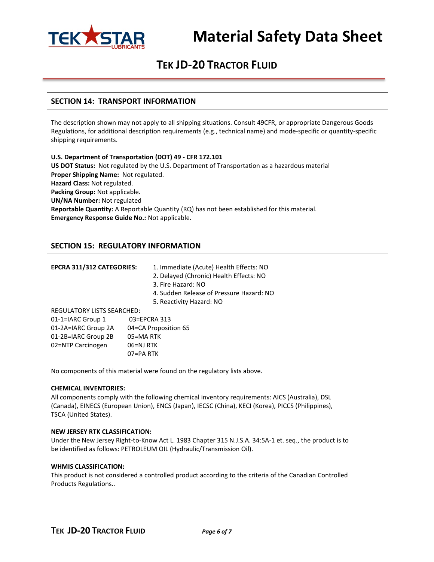

# **Material Safety Data Sheet**

### **TEK JD-20 TRACTOR FLUID**

### **SECTION 14: TRANSPORT INFORMATION**

The description shown may not apply to all shipping situations. Consult 49CFR, or appropriate Dangerous Goods Regulations, for additional description requirements (e.g., technical name) and mode-specific or quantity-specific shipping requirements.

**U.S. Department of Transportation (DOT) 49 - CFR 172.101 US DOT Status:** Not regulated by the U.S. Department of Transportation as a hazardous material **Proper Shipping Name:** Not regulated. **Hazard Class:** Not regulated. **Packing Group:** Not applicable. **UN/NA Number:** Not regulated **Reportable Quantity:** A Reportable Quantity (RQ) has not been established for this material. **Emergency Response Guide No.:** Not applicable.

### **SECTION 15: REGULATORY INFORMATION**

EPCRA 311/312 CATEGORIES: 1. Immediate (Acute) Health Effects: NO

- 2. Delayed (Chronic) Health Effects: NO
- 3. Fire Hazard: NO
- 4. Sudden Release of Pressure Hazard: NO
- 5. Reactivity Hazard: NO

REGULATORY LISTS SEARCHED:

| 01-1=IARC Group 1   | 03=EPCRA 313         |
|---------------------|----------------------|
| 01-2A=IARC Group 2A | 04=CA Proposition 65 |
| 01-2B=IARC Group 2B | 05=MA RTK            |
| 02=NTP Carcinogen   | 06=NJ RTK            |
|                     | 07=PA RTK            |
|                     |                      |

No components of this material were found on the regulatory lists above.

### **CHEMICAL INVENTORIES:**

All components comply with the following chemical inventory requirements: AICS (Australia), DSL (Canada), EINECS (European Union), ENCS (Japan), IECSC (China), KECI (Korea), PICCS (Philippines), TSCA (United States).

### **NEW JERSEY RTK CLASSIFICATION:**

Under the New Jersey Right-to-Know Act L. 1983 Chapter 315 N.J.S.A. 34:5A-1 et. seq., the product is to be identified as follows: PETROLEUM OIL (Hydraulic/Transmission Oil).

### **WHMIS CLASSIFICATION:**

This product is not considered a controlled product according to the criteria of the Canadian Controlled Products Regulations..